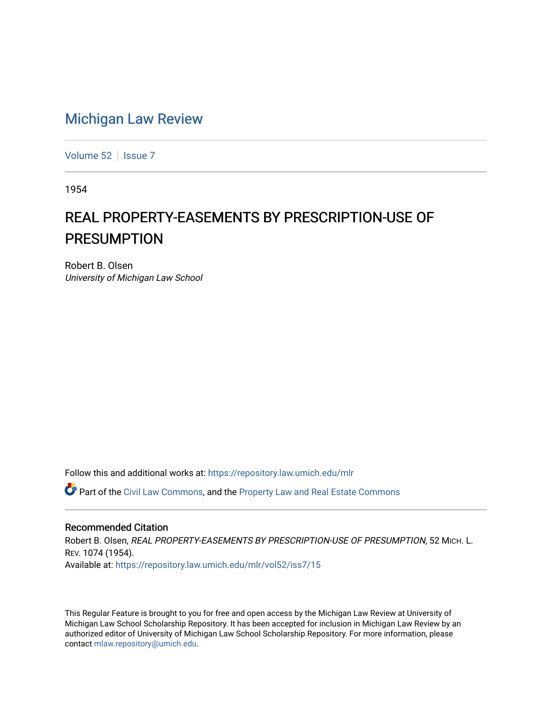## [Michigan Law Review](https://repository.law.umich.edu/mlr)

[Volume 52](https://repository.law.umich.edu/mlr/vol52) | [Issue 7](https://repository.law.umich.edu/mlr/vol52/iss7)

1954

## REAL PROPERTY-EASEMENTS BY PRESCRIPTION-USE OF PRESUMPTION

Robert B. Olsen University of Michigan Law School

Follow this and additional works at: [https://repository.law.umich.edu/mlr](https://repository.law.umich.edu/mlr?utm_source=repository.law.umich.edu%2Fmlr%2Fvol52%2Fiss7%2F15&utm_medium=PDF&utm_campaign=PDFCoverPages) 

Part of the [Civil Law Commons](http://network.bepress.com/hgg/discipline/835?utm_source=repository.law.umich.edu%2Fmlr%2Fvol52%2Fiss7%2F15&utm_medium=PDF&utm_campaign=PDFCoverPages), and the [Property Law and Real Estate Commons](http://network.bepress.com/hgg/discipline/897?utm_source=repository.law.umich.edu%2Fmlr%2Fvol52%2Fiss7%2F15&utm_medium=PDF&utm_campaign=PDFCoverPages) 

## Recommended Citation

Robert B. Olsen, REAL PROPERTY-EASEMENTS BY PRESCRIPTION-USE OF PRESUMPTION, 52 MICH. L. REV. 1074 (1954). Available at: [https://repository.law.umich.edu/mlr/vol52/iss7/15](https://repository.law.umich.edu/mlr/vol52/iss7/15?utm_source=repository.law.umich.edu%2Fmlr%2Fvol52%2Fiss7%2F15&utm_medium=PDF&utm_campaign=PDFCoverPages) 

This Regular Feature is brought to you for free and open access by the Michigan Law Review at University of Michigan Law School Scholarship Repository. It has been accepted for inclusion in Michigan Law Review by an authorized editor of University of Michigan Law School Scholarship Repository. For more information, please contact [mlaw.repository@umich.edu](mailto:mlaw.repository@umich.edu).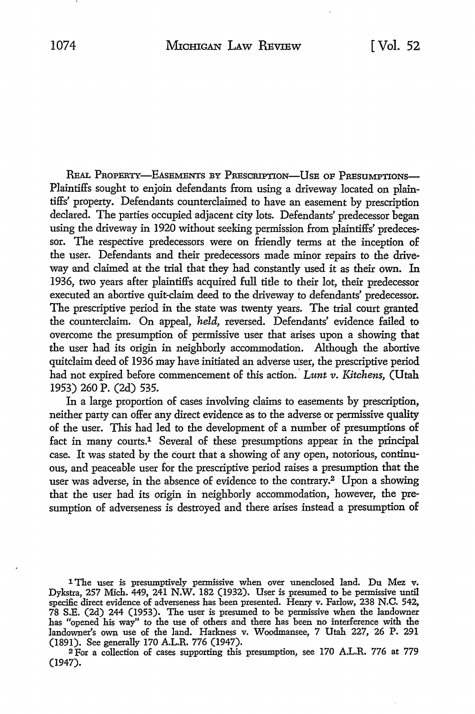REAL PROPERTY-EASEMENTS BY PRESCRIPTION-USE OF PRESUMPTIONS-Plaintiffs sought *to* enjoin defendants from using a driveway located on plaintiffs' property. Defendants counterclaimed to have an easement by prescription declared. The parties occupied adjacent city lots. Defendants' predecessor began using the driveway in 1920 without seeking permission from plaintiffs' predecessor. The respective predecessors were on friendly terms at the inception of the user. Defendants and their predecessors made minor repairs to the driveway and claimed at the trial that they had constantly used it as their own. In 1936, two years after plaintiffs acquired full title to their lot, their predecessor executed an abortive quit-claim deed to the driveway to defendants' predecessor. The prescriptive period in the state was twenty years. The trial court granted the counterclaim. On appeal, *held,* reversed. Defendants' evidence failed to overcome the presumption of permissive user that arises upon a showing that the user had its origin in neighborly accommodation. Although the abortive quitclaim deed of 1936 may have initiated an adverse user, the prescriptive period had not expired before commencement of this action.' *Lunt v. Kitchens,* (Utah 1953) 260 P. (2d) 535.

In a large proportion of cases involving claims to easements by prescription, neither party can offer any direct evidence as to the adverse or permissive quality of the user. This had led to the development of a number of presumptions of fact in many courts.1 Several of these presumptions appear in the principal case. It was stated by the court that a showing of any open, notorious, continu· ous, and peaceable user for the prescriptive period raises a presumption that the user was adverse, in the absence of evidence to the contrary.<sup>2</sup> Upon a showing that the user had its origin in neighborly accommodation, however, the presumption of adverseness is destroyed and there arises instead a presumption of

2 For a collection of cases supporting this presumption, see 170 A.L.R. 776 at 779 (1947).

<sup>1</sup> The user is presumptively permissive when over unenclosed land. Du Mez v. Dykstra, 257 Mich. 449, 241 N.W. 182 (1932). User is presumed to be permissive until specific direct evidence of adverseness has been presented. Henry v. Farlow, 238 N.C. 542, 78 S.E. (2d) 244 (1953). The user is presumed to be permissive when the landowner has "opened his way'' to the use of others and there has been no interference with the landowner's own use of the land. Harkness v. Woodmansee, 7 Utah 227, 26 P. 291 (1891). See generally 170 A.L.R. 776 (1947).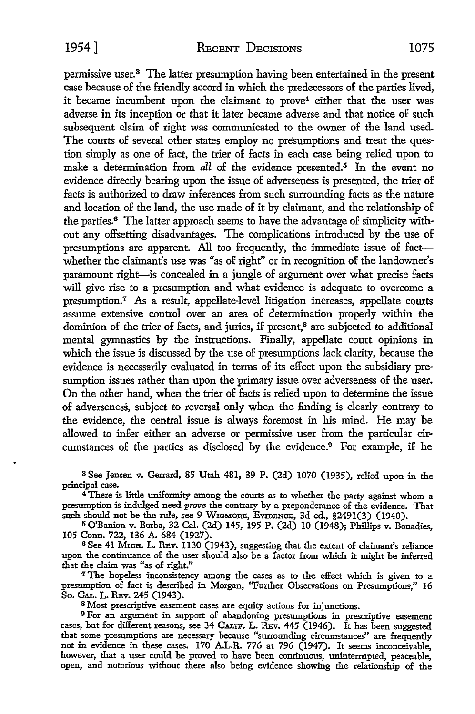permissive user.8 The latter presumption having been entertained in the present case because of the friendly accord in which the predecessors of the parties lived, it became incumbent upon the claimant to prove<sup>4</sup> either that the user was adverse in its inception or that it later became adverse and that notice of such subsequent claim of right was communicated to the owner of the land used. The courts of several other states employ no presumptions and treat the question simply as one of fact, the trier of facts in each case being relied upon to make a determination from *all* of the evidence presented.5 In the event no evidence directly bearing upon the issue of adverseness is presented, the trier of facts is authorized to draw inferences from such surrounding facts as the nature and location of the land, the use made of it by claimant, and the relationship of the parties.6 The latter approach seems to have the advantage of simplicity without any offsetting disadvantages. The complications introduced by the use of presumptions are apparent. All too frequently, the immediate issue of factwhether the claimant's use was "as of right" or in recognition of the landowner's paramount right-is concealed in a jungle of argument over what precise facts will give rise to a presumption and what evidence is adequate to overcome a presumption.7 As a result, appellate-level litigation increases, appellate courts assume extensive control over an area of determination properly within the dominion of the trier of facts, and juries, if present,<sup>8</sup> are subjected to additional mental gymnastics by the instructions. Finally, appellate court opinions in which the issue is discussed by the use of presumptions lack clarity, because the evidence is necessarily evaluated in terms of its effect upon the subsidiary presumption issues rather than upon the primary issue over adverseness of the user. On the other hand, when the trier of facts is relied upon to determine the issue of adverseness, subject to reversal only when the finding is clearly contrary to the evidence, the central issue is always foremost in his mind. He may be allowed to infer either an adverse or permissive user from the particular circumstances of the parties as disclosed by the evidence. $9$  For example, if he

<sup>3</sup>See Jensen v. Gerrard, 85 Utah 481, 39 P. (2d) 1070 (1935), relied upon in the principal case.

<sup>4</sup>There is little uniformity among the courts as to whether the party against whom a presumption is indulged need prove the contrary by a preponderance of the evidence. That such should not be the rule, see 9 WIGMORE, EVIDENCE, 3d ed., §2491(3) (1940).

<sup>5</sup>O'Banion v. Borba, 32 Cal. (2d) 145, 195 P. (2d) IO (1948); Phillips v. Bonadies, 105 Conn. 722, 136 A. 684 (1927).

6 See 41 MxcH. L. REv. 1130 (1943), suggesting that the extent of claimant's reliance upon the continuance of the user should also be a factor from which it might be inferred that the claim was "as of right."

<sup>7</sup>The hopeless inconsistency among the cases as to the effect which is given to a presumption of fact is described in Morgan, "Further Observations on Presumptions," 16 So. CAL. L. REv. 245 (1943).

8 Most prescriptive easement cases are equity actions for injunctions.

<sup>9</sup>For an argument in support of abandoning presumptions in prescriptive easement cases, but for different reasons, see 34 CALIF. L. REV. 445 (1946). It has been suggested that some presumptions are necessary because "surrounding circumstances" are frequently not in evidence in these cases. 170 A.L.R. 776 at 796 (1947). It seems inconceivable, however, that a user could be proved to have been continuous, uninterrupted, peaceable, open, and notorious without there also being evidence showing the relationship of the